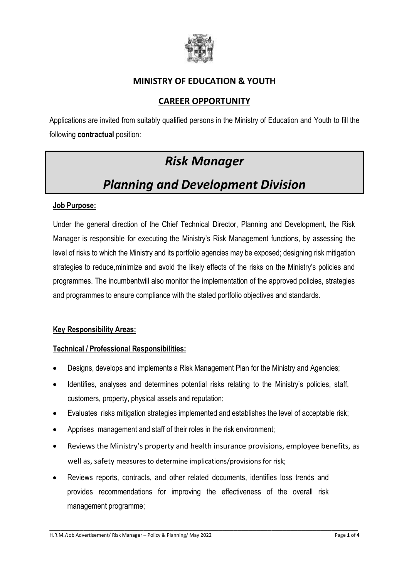

## **MINISTRY OF EDUCATION & YOUTH**

## **CAREER OPPORTUNITY**

Applications are invited from suitably qualified persons in the Ministry of Education and Youth to fill the following **contractual** position:

## *Risk Manager*

# *Planning and Development Division*

#### **Job Purpose:**

Under the general direction of the Chief Technical Director, Planning and Development, the Risk Manager is responsible for executing the Ministry's Risk Management functions, by assessing the level of risks to which the Ministry and its portfolio agencies may be exposed; designing risk mitigation strategies to reduce,minimize and avoid the likely effects of the risks on the Ministry's policies and programmes. The incumbentwill also monitor the implementation of the approved policies, strategies and programmes to ensure compliance with the stated portfolio objectives and standards.

#### **Key Responsibility Areas:**

#### **Technical / Professional Responsibilities:**

- Designs, develops and implements a Risk Management Plan for the Ministry and Agencies;
- Identifies, analyses and determines potential risks relating to the Ministry's policies, staff, customers, property, physical assets and reputation;
- Evaluates risks mitigation strategies implemented and establishes the level of acceptable risk;
- Apprises management and staff of their roles in the risk environment;
- Reviews the Ministry's property and health insurance provisions, employee benefits, as well as, safety measures to determine implications/provisions for risk;

\_\_\_\_\_\_\_\_\_\_\_\_\_\_\_\_\_\_\_\_\_\_\_\_\_\_\_\_\_\_\_\_\_\_\_\_\_\_\_\_\_\_\_\_\_\_\_\_\_\_\_\_\_\_\_\_\_\_\_\_\_\_\_\_\_\_\_\_\_\_\_\_\_\_\_\_\_\_\_\_\_\_

 Reviews reports, contracts, and other related documents, identifies loss trends and provides recommendations for improving the effectiveness of the overall risk management programme;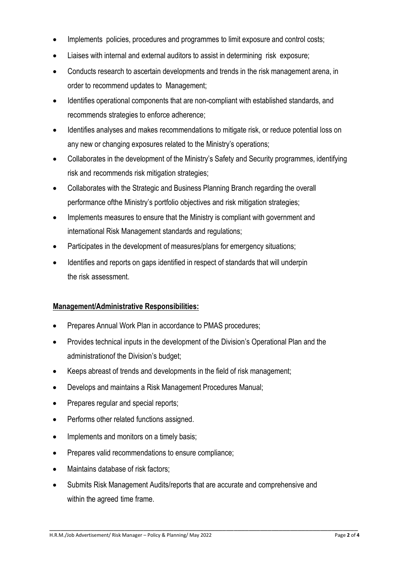- Implements policies, procedures and programmes to limit exposure and control costs;
- Liaises with internal and external auditors to assist in determining risk exposure;
- Conducts research to ascertain developments and trends in the risk management arena, in order to recommend updates to Management;
- Identifies operational components that are non-compliant with established standards, and recommends strategies to enforce adherence;
- Identifies analyses and makes recommendations to mitigate risk, or reduce potential loss on any new or changing exposures related to the Ministry's operations;
- Collaborates in the development of the Ministry's Safety and Security programmes, identifying risk and recommends risk mitigation strategies;
- Collaborates with the Strategic and Business Planning Branch regarding the overall performance ofthe Ministry's portfolio objectives and risk mitigation strategies;
- Implements measures to ensure that the Ministry is compliant with government and international Risk Management standards and regulations;
- Participates in the development of measures/plans for emergency situations;
- Identifies and reports on gaps identified in respect of standards that will underpin the risk assessment.

#### **Management/Administrative Responsibilities:**

- Prepares Annual Work Plan in accordance to PMAS procedures;
- Provides technical inputs in the development of the Division's Operational Plan and the administrationof the Division's budget;
- Keeps abreast of trends and developments in the field of risk management;
- Develops and maintains a Risk Management Procedures Manual;
- Prepares regular and special reports;
- Performs other related functions assigned.
- Implements and monitors on a timely basis;
- Prepares valid recommendations to ensure compliance;
- Maintains database of risk factors;
- Submits Risk Management Audits/reports that are accurate and comprehensive and within the agreed time frame.

\_\_\_\_\_\_\_\_\_\_\_\_\_\_\_\_\_\_\_\_\_\_\_\_\_\_\_\_\_\_\_\_\_\_\_\_\_\_\_\_\_\_\_\_\_\_\_\_\_\_\_\_\_\_\_\_\_\_\_\_\_\_\_\_\_\_\_\_\_\_\_\_\_\_\_\_\_\_\_\_\_\_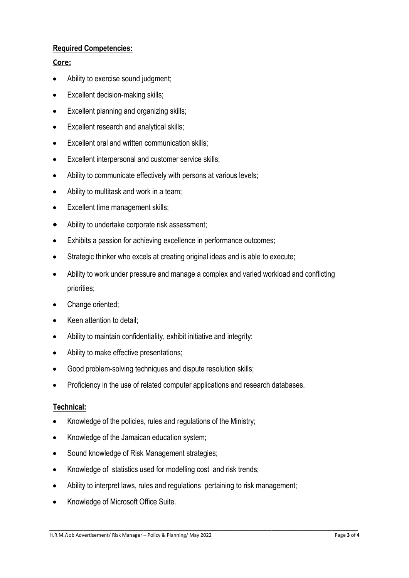## **Required Competencies:**

#### **Core:**

- Ability to exercise sound judgment;
- Excellent decision-making skills;
- **Excellent planning and organizing skills;**
- Excellent research and analytical skills;
- Excellent oral and written communication skills;
- Excellent interpersonal and customer service skills;
- Ability to communicate effectively with persons at various levels;
- Ability to multitask and work in a team;
- Excellent time management skills:
- Ability to undertake corporate risk assessment;
- Exhibits a passion for achieving excellence in performance outcomes;
- Strategic thinker who excels at creating original ideas and is able to execute;
- Ability to work under pressure and manage a complex and varied workload and conflicting priorities;
- Change oriented;
- Keen attention to detail;
- Ability to maintain confidentiality, exhibit initiative and integrity;
- Ability to make effective presentations;
- Good problem-solving techniques and dispute resolution skills;
- Proficiency in the use of related computer applications and research databases.

#### **Technical:**

- Knowledge of the policies, rules and regulations of the Ministry;
- Knowledge of the Jamaican education system;
- Sound knowledge of Risk Management strategies;
- Knowledge of statistics used for modelling cost and risk trends;
- Ability to interpret laws, rules and regulations pertaining to risk management;
- Knowledge of Microsoft Office Suite.